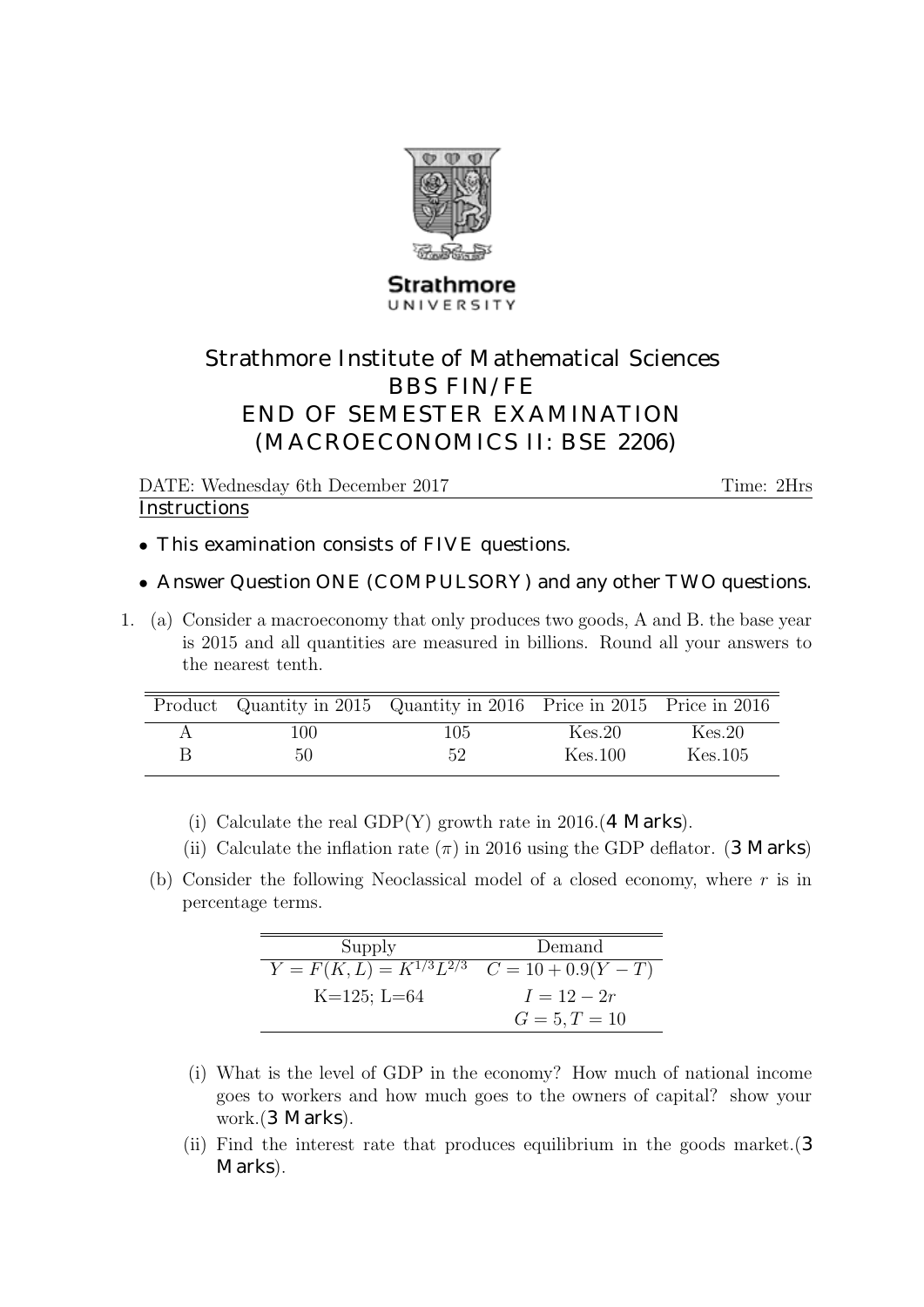

## Strathmore UNIVERSITY

## Strathmore Institute of Mathematical Sciences BBS FIN/FE END OF SEMESTER EXAMINATION (MACROECONOMICS II: BSE 2206)

DATE: Wednesday 6th December 2017 Time: 2Hrs **Instructions** 

- This examination consists of FIVE questions.
- Answer Question ONE (COMPULSORY) and any other TWO questions.
- 1. (a) Consider a macroeconomy that only produces two goods, A and B. the base year is 2015 and all quantities are measured in billions. Round all your answers to the nearest tenth.

|   |      | Product Quantity in 2015 Quantity in 2016 Price in 2015 Price in 2016 |         |         |
|---|------|-----------------------------------------------------------------------|---------|---------|
| А | 100. | 105.                                                                  | Kes.20  | Kes.20  |
| B | 50   | 52                                                                    | Kes.100 | Kes.105 |

- (i) Calculate the real GDP(Y) growth rate in 2016.(4 Marks).
- (ii) Calculate the inflation rate  $(\pi)$  in 2016 using the GDP deflator. (3 Marks)
- (b) Consider the following Neoclassical model of a closed economy, where  $r$  is in percentage terms.

| Supply                                                   | Demand          |
|----------------------------------------------------------|-----------------|
| $Y = F(K, L) = K^{1/3}L^{2/3} \quad C = 10 + 0.9(Y - T)$ |                 |
| $K=125; L=64$                                            | $I = 12 - 2r$   |
|                                                          | $G = 5, T = 10$ |

- (i) What is the level of GDP in the economy? How much of national income goes to workers and how much goes to the owners of capital? show your work.(3 Marks).
- (ii) Find the interest rate that produces equilibrium in the goods market.(3 Marks).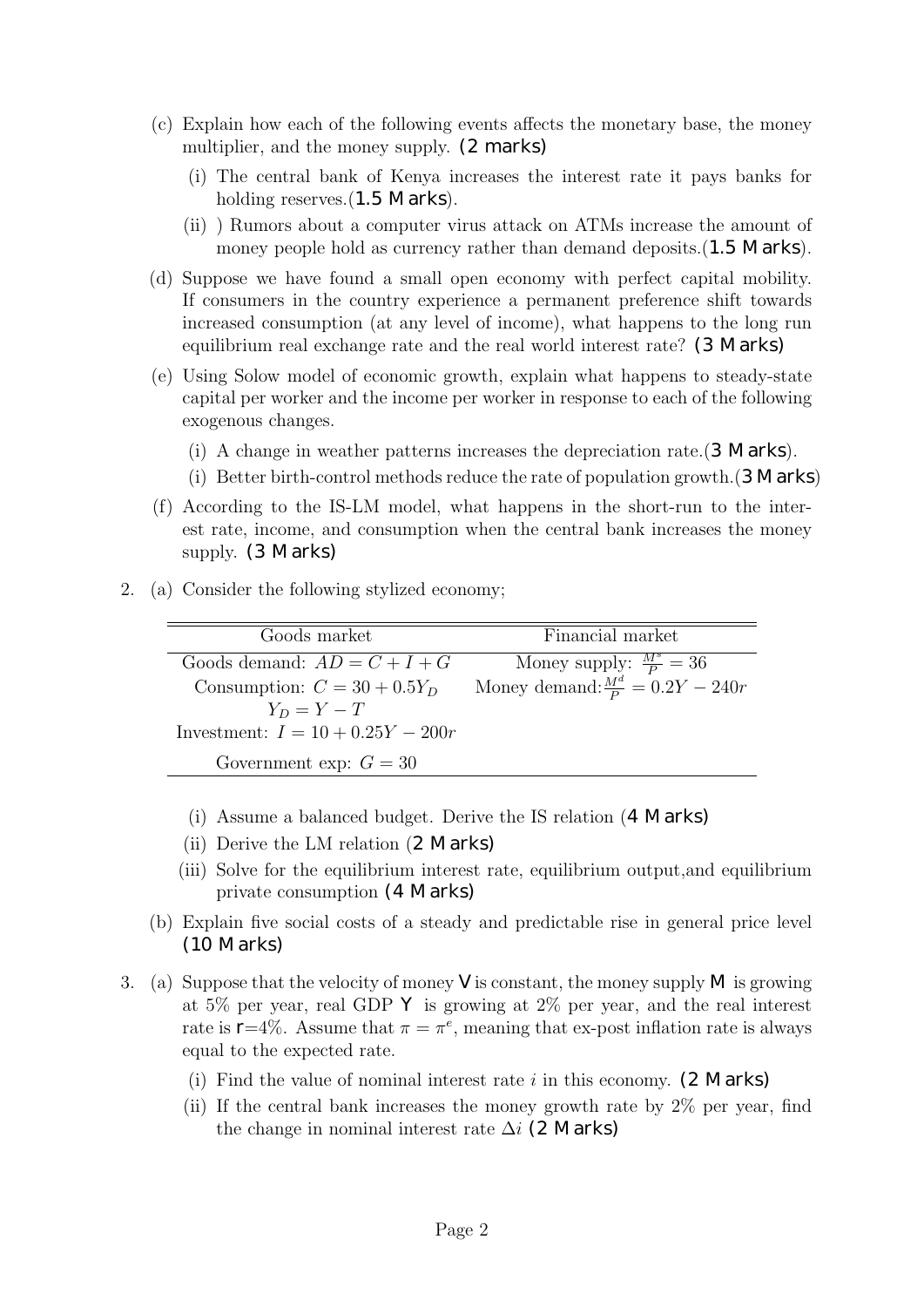- (c) Explain how each of the following events affects the monetary base, the money multiplier, and the money supply. (2 marks)
	- (i) The central bank of Kenya increases the interest rate it pays banks for holding reserves. (1.5 Marks).
	- (ii) ) Rumors about a computer virus attack on ATMs increase the amount of money people hold as currency rather than demand deposits. (1.5 Marks).
- (d) Suppose we have found a small open economy with perfect capital mobility. If consumers in the country experience a permanent preference shift towards increased consumption (at any level of income), what happens to the long run equilibrium real exchange rate and the real world interest rate? (3 Marks)
- (e) Using Solow model of economic growth, explain what happens to steady-state capital per worker and the income per worker in response to each of the following exogenous changes.
	- (i) A change in weather patterns increases the depreciation rate.(3 Marks).
	- (i) Better birth-control methods reduce the rate of population growth.(3 Marks)
- (f) According to the IS-LM model, what happens in the short-run to the interest rate, income, and consumption when the central bank increases the money supply. (3 Marks)
- 2. (a) Consider the following stylized economy;

| Goods market                        | Financial market                            |
|-------------------------------------|---------------------------------------------|
| Goods demand: $AD = C + I + G$      | Money supply: $\frac{M^s}{P} = 36$          |
| Consumption: $C = 30 + 0.5Y_D$      | Money demand: $\frac{M^d}{P} = 0.2Y - 240r$ |
| $Y_D = Y - T$                       |                                             |
| Investment: $I = 10 + 0.25Y - 200r$ |                                             |
| Government exp: $G = 30$            |                                             |

- (i) Assume a balanced budget. Derive the IS relation (4 Marks)
- (ii) Derive the LM relation (2 Marks)
- (iii) Solve for the equilibrium interest rate, equilibrium output,and equilibrium private consumption (4 Marks)
- (b) Explain five social costs of a steady and predictable rise in general price level (10 Marks)
- 3. (a) Suppose that the velocity of money  $\vee$  is constant, the money supply M is growing at 5% per year, real GDP  $\mathsf{Y}$  is growing at 2% per year, and the real interest rate is  $\mathsf{r} = 4\%$ . Assume that  $\pi = \pi^e$ , meaning that ex-post inflation rate is always equal to the expected rate.
	- (i) Find the value of nominal interest rate  $i$  in this economy. (2 Marks)
	- (ii) If the central bank increases the money growth rate by 2% per year, find the change in nominal interest rate  $\Delta i$  (2 Marks)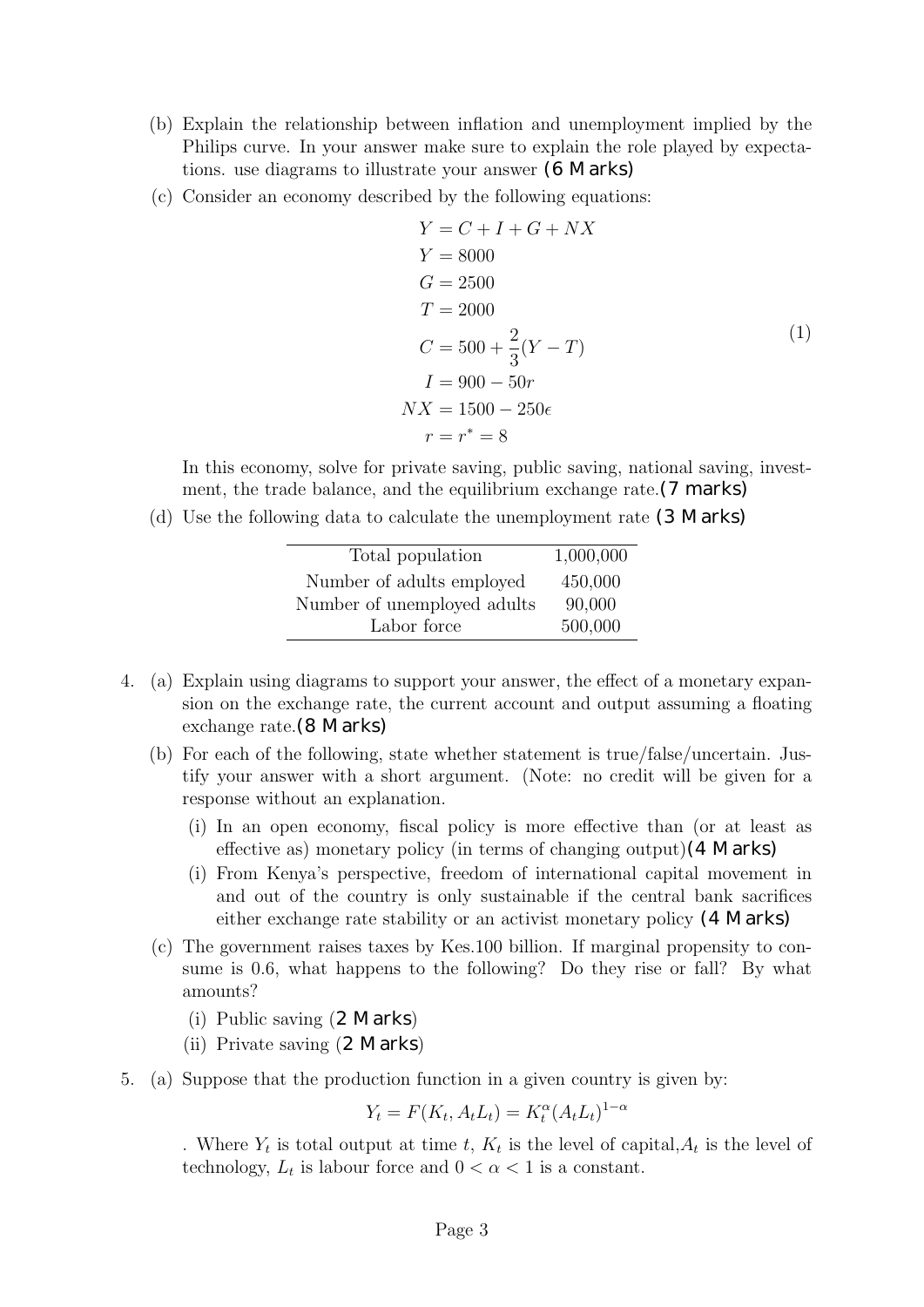- (b) Explain the relationship between inflation and unemployment implied by the Philips curve. In your answer make sure to explain the role played by expectations. use diagrams to illustrate your answer (6 Marks)
- (c) Consider an economy described by the following equations:

$$
Y = C + I + G + NX
$$
  
\n
$$
Y = 8000
$$
  
\n
$$
G = 2500
$$
  
\n
$$
T = 2000
$$
  
\n
$$
C = 500 + \frac{2}{3}(Y - T)
$$
  
\n
$$
I = 900 - 50r
$$
  
\n
$$
NX = 1500 - 250\epsilon
$$
  
\n
$$
r = r^* = 8
$$

In this economy, solve for private saving, public saving, national saving, investment, the trade balance, and the equilibrium exchange rate. (7 marks)

(d) Use the following data to calculate the unemployment rate (3 Marks)

| Total population            | 1,000,000 |
|-----------------------------|-----------|
| Number of adults employed   | 450,000   |
| Number of unemployed adults | 90,000    |
| Labor force                 | 500,000   |

- 4. (a) Explain using diagrams to support your answer, the effect of a monetary expansion on the exchange rate, the current account and output assuming a floating exchange rate.(8 Marks)
	- (b) For each of the following, state whether statement is true/false/uncertain. Justify your answer with a short argument. (Note: no credit will be given for a response without an explanation.
		- (i) In an open economy, fiscal policy is more effective than (or at least as effective as) monetary policy (in terms of changing output)(4 Marks)
		- (i) From Kenya's perspective, freedom of international capital movement in and out of the country is only sustainable if the central bank sacrifices either exchange rate stability or an activist monetary policy (4 Marks)
	- (c) The government raises taxes by Kes.100 billion. If marginal propensity to consume is 0.6, what happens to the following? Do they rise or fall? By what amounts?
		- (i) Public saving (2 Marks)
		- (ii) Private saving (2 Marks)
- 5. (a) Suppose that the production function in a given country is given by:

 $Y_t = F(K_t, A_t L_t) = K_t^{\alpha} (A_t L_t)^{1-\alpha}$ 

. Where  $Y_t$  is total output at time t,  $K_t$  is the level of capital,  $A_t$  is the level of technology,  $L_t$  is labour force and  $0 < \alpha < 1$  is a constant.